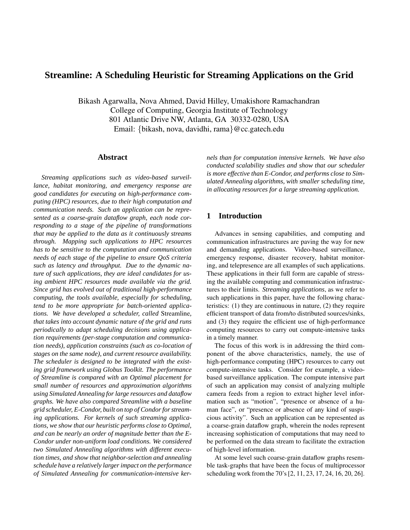# **Streamline: A Scheduling Heuristic for Streaming Applications on the Grid**

Bikash Agarwalla, Nova Ahmed, David Hilley, Umakishore Ramachandran College of Computing, Georgia Institute of Technology 801 Atlantic Drive NW, Atlanta, GA 30332-0280, USA Email: {bikash, nova, davidhi, rama}@cc.gatech.edu

### **Abstract**

*Streaming applications such as video-based surveillance, habitat monitoring, and emergency response are good candidates for executing on high-performance computing (HPC) resources, due to their high computation and communication needs. Such an application can be represented as a coarse-grain dataflow graph, each node corresponding to a stage of the pipeline of transformations that may be applied to the data as it continuously streams through. Mapping such applications to HPC resources has to be sensitive to the computation and communication needs of each stage of the pipeline to ensure QoS criteria such as latency and throughput. Due to the dynamic nature of such applications, they are ideal candidates for using ambient HPC resources made available via the grid. Since grid has evolved out of traditional high-performance computing, the tools available, especially for scheduling, tend to be more appropriate for batch-oriented applications. We have developed a scheduler, called* Streamline*, that takes into account dynamic nature of the grid and runs periodically to adapt scheduling decisions using application requirements (per-stage computation and communication needs), application constraints (such as co-location of stages on the same node), and current resource availability. The scheduler is designed to be integrated with the existing grid framework using Globus Toolkit. The performance of Streamline is compared with an Optimal placement for small number of resources and approximation algorithms using Simulated Annealing for large resources and dataflow graphs. We have also compared Streamline with a baseline grid scheduler, E-Condor, built on top of Condorfor streaming applications. For kernels of such streaming applications, we show that our heuristic performs close to Optimal, and can be nearly an order of magnitude better than the E-Condor under non-uniform load conditions. We considered two Simulated Annealing algorithms with different execution times, and show that neighbor-selection and annealing schedule have a relatively larger impact on the performance of Simulated Annealing for communication-intensive ker-* *nels than for computation intensive kernels. We have also conducted scalability studies and show that our scheduler is more effective than E-Condor, and performs close to Simulated Annealing algorithms, with smaller scheduling time, in allocating resources for a large streaming application.*

### **1 Introduction**

Advances in sensing capabilities, and computing and communication infrastructures are paving the way for new and demanding applications. Video-based surveillance, emergency response, disaster recovery, habitat monitoring, and telepresence are all examples of such applications. These applications in their full form are capable of stressing the available computing and communication infrastructures to their limits. *Streaming applications*, as we refer to such applications in this paper, have the following characteristics: (1) they are continuous in nature, (2) they require efficient transport of data from/to distributed sources/sinks, and (3) they require the efficient use of high-performance computing resources to carry out compute-intensive tasks in a timely manner.

The focus of this work is in addressing the third component of the above characteristics, namely, the use of high-performance computing (HPC) resources to carry out compute-intensive tasks. Consider for example, a videobased surveillance application. The compute intensive part of such an application may consist of analyzing multiple camera feeds from a region to extract higher level information such as "motion", "presence or absence of a human face", or "presence or absence of any kind of suspicious activity". Such an application can be represented as a coarse-grain dataflow graph, wherein the nodes represent increasing sophistication of computations that may need to be performed on the data stream to facilitate the extraction of high-level information.

At some level such coarse-grain dataflow graphs resemble task-graphs that have been the focus of multiprocessor scheduling work from the 70's[2, 11, 23, 17, 24, 16, 20, 26].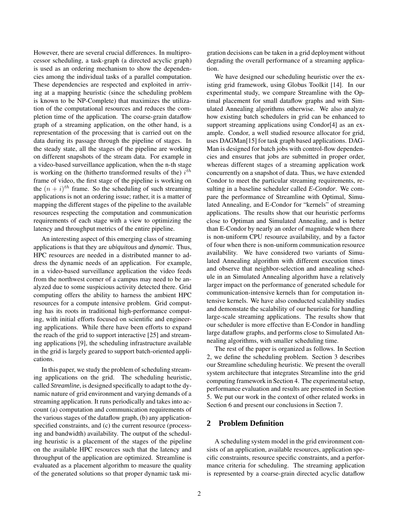However, there are several crucial differences. In multiprocessor scheduling, a task-graph (a directed acyclic graph) is used as an ordering mechanism to show the dependencies among the individual tasks of a parallel computation. These dependencies are respected and exploited in arriving at a mapping heuristic (since the scheduling problem is known to be NP-Complete) that maximizes the utilization of the computational resources and reduces the completion time of the application. The coarse-grain dataflow graph of a streaming application, on the other hand, is a representation of the processing that is carried out on the data during its passage through the pipeline of stages. In the steady state, all the stages of the pipeline are working on different snapshots of the stream data. For example in a video-based surveillance application, when the n-th stage is working on the (hitherto transformed results of the)  $i^{th}$ frame of video, the first stage of the pipeline is working on the  $(n + i)^{th}$  frame. So the scheduling of such streaming applications is not an ordering issue; rather, it is a matter of mapping the different stages of the pipeline to the available resources respecting the computation and communication requirements of each stage with a view to optimizing the latency and throughput metrics of the entire pipeline.

An interesting aspect of this emerging class of streaming applications is that they are *ubiquitous* and *dynamic*. Thus, HPC resources are needed in a distributed manner to address the dynamic needs of an application. For example, in a video-based surveillance application the video feeds from the northwest corner of a campus may need to be analyzed due to some suspicious activity detected there. Grid computing offers the ability to harness the ambient HPC resources for a compute intensive problem. Grid computing has its roots in traditional high-performance computing, with initial efforts focused on scientific and engineering applications. While there have been efforts to expand the reach of the grid to support interactive [25] and streaming applications [9], the scheduling infrastructure available in the grid is largely geared to support batch-oriented applications.

In this paper, we study the problem of scheduling streaming applications on the grid. The scheduling heuristic, called *Streamline*, is designed specifically to adapt to the dynamic nature of grid environment and varying demands of a streaming application. It runs periodically and takes into account (a) computation and communication requirements of the various stages of the dataflow graph, (b) any applicationspecified constraints, and (c) the current resource (processing and bandwidth) availability. The output of the scheduling heuristic is a placement of the stages of the pipeline on the available HPC resources such that the latency and throughput of the application are optimized. Streamline is evaluated as a placement algorithm to measure the quality of the generated solutions so that proper dynamic task migration decisions can be taken in a grid deployment without degrading the overall performance of a streaming application.

We have designed our scheduling heuristic over the existing grid framework, using Globus Toolkit [14]. In our experimental study, we compare Streamline with the Optimal placement for small dataflow graphs and with Simulated Annealing algorithms otherwise. We also analyze how existing batch schedulers in grid can be enhanced to support streaming applications using Condor[4] as an example. Condor, a well studied resource allocator for grid, uses DAGMan[15] for task graph based applications. DAG-Man is designed for batch jobs with control-flow dependencies and ensures that jobs are submitted in proper order, whereas different stages of a streaming application work concurrently on a snapshot of data. Thus, we have extended Condor to meet the particular streaming requirements, resulting in a baseline scheduler called *E-Condor*. We compare the performance of Streamline with Optimal, Simulated Annealing, and E-Condor for "kernels" of streaming applications. The results show that our heuristic performs close to Optiman and Simulated Annealing, and is better than E-Condor by nearly an order of magnitude when there is non-uniform CPU resource availability, and by a factor of four when there is non-uniform communication resource availability. We have considered two variants of Simulated Annealing algorithm with different execution times and observe that neighbor-selection and annealing schedule in an Simulated Annealing algorithm have a relatively larger impact on the performance of generated schedule for communication-intensive kernels than for computation intensive kernels. We have also conducted scalability studies and demonstate the scalability of our heuristic for handling large-scale streaming applications. The results show that our scheduler is more effective than E-Condor in handling large dataflow graphs, and performs close to Simulated Annealing algorithms, with smaller scheduling time.

The rest of the paper is organized as follows. In Section 2, we define the scheduling problem. Section 3 describes our Streamline scheduling heuristic. We present the overall system architecture that integrates Streamline into the grid computing framework in Section 4. The experimental setup, performance evaluation and results are presented in Section 5. We put our work in the context of other related works in Section 6 and present our conclusions in Section 7.

### **2 Problem Definition**

A scheduling system model in the grid environment consists of an application, available resources, application specific constraints, resource specific constraints, and a performance criteria for scheduling. The streaming application is represented by a coarse-grain directed acyclic dataflow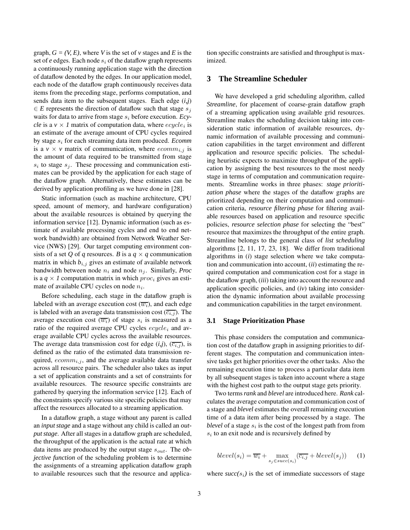graph,  $G = (V, E)$ , where V is the set of v stages and E is the set of  $e$  edges. Each node  $s_i$  of the dataflow graph represents a continuously running application stage with the direction of dataflow denoted by the edges. In our application model, each node of the dataflow graph continuously receives data items from the preceding stage, performs computation, and sends data item to the subsequent stages. Each edge (*i,j*)  $\in E$  represents the direction of dataflow such that stage  $s_i$ waits for data to arrive from stage  $s_i$  before execution. *Ecycle* is a  $v \times I$  matrix of computation data, where  $ecycle_i$  is an estimate of the average amount of CPU cycles required by stage s<sup>i</sup> for each streaming data item produced. *Ecomm* is a  $v \times v$  matrix of communication, where  $ecomm_{i,j}$  is the amount of data required to be transmitted from stage  $s_i$  to stage  $s_j$ . These processing and communication estimates can be provided by the application for each stage of the dataflow graph. Alternatively, these estimates can be derived by application profiling as we have done in [28].

Static information (such as machine architecture, CPU speed, amount of memory, and hardware configuration) about the available resources is obtained by querying the information service [12]. Dynamic information (such as estimate of available processing cycles and end to end network bandwidth) are obtained from Network Weather Service (NWS) [29]. Our target computing environment consists of a set Q of q resources. B is a  $q \times q$  communication matrix in which  $b_{i,j}$  gives an estimate of available network bandwidth between node  $n_i$  and node  $n_j$ . Similarly, *Proc* is a  $q \times l$  computation matrix in which *proc<sub>i</sub>* gives an estimate of available CPU cycles on node  $n_i$ .

Before scheduling, each stage in the dataflow graph is labeled with an average execution cost  $(\overline{w_i})$ , and each edge is labeled with an average data transmission cost  $(\overline{c_{i,j}})$ . The average execution cost  $(\overline{w_i})$  of stage  $s_i$  is measured as a ratio of the required average CPU cycles  $ecycle_i$  and average available CPU cycles across the available resources. The average data transmission cost for edge  $(i,j)$ ,  $(\overline{c_{i,j}})$ , is defined as the ratio of the estimated data transmission required,  $ecomm_{i,j}$ , and the average available data transfer across all resource pairs. The scheduler also takes as input a set of application constraints and a set of constraints for available resources. The resource specific constraints are gathered by querying the information service [12]. Each of the constraints specify various site specific policies that may affect the resources allocated to a streaming application.

In a dataflow graph, a stage without any parent is called an *input stage* and a stage without any child is called an *output stage*. After all stages in a dataflow graph are scheduled, the throughput of the application is the actual rate at which data items are produced by the output stage  $s_{out}$ . The *objective function* of the scheduling problem is to determine the assignments of a streaming application dataflow graph to available resources such that the resource and application specific constraints are satisfied and throughput is maximized.

### **3 The Streamline Scheduler**

We have developed a grid scheduling algorithm, called *Streamline*, for placement of coarse-grain dataflow graph of a streaming application using available grid resources. Streamline makes the scheduling decision taking into consideration static information of available resources, dynamic information of available processing and communication capabilities in the target environment and different application and resource specific policies. The scheduling heuristic expects to maximize throughput of the application by assigning the best resources to the most needy stage in terms of computation and communication requirements. Streamline works in three phases: *stage prioritization phase* where the stages of the dataflow graphs are prioritized depending on their computation and communication criteria, *resource filtering phase* for filtering available resources based on application and resource specific policies, *resource selection phase* for selecting the "best" resource that maximizes the throughput of the entire graph. Streamline belongs to the general class of *list scheduling* algorithms [2, 11, 17, 23, 18]. We differ from traditional algorithms in (*i*) stage selection where we take computation and communication into account, (*ii*) estimating the required computation and communication cost for a stage in the dataflow graph, (*iii*) taking into account the resource and application specific policies, and (*iv*) taking into consideration the dynamic information about available processing and communication capabilities in the target environment.

#### **3.1 Stage Prioritization Phase**

This phase considers the computation and communication cost of the dataflow graph in assigning priorities to different stages. The computation and communication intensive tasks get higher priorities over the other tasks. Also the remaining execution time to process a particular data item by all subsequent stages is taken into account where a stage with the highest cost path to the output stage gets priority.

Two terms *rank* and *blevel* are introduced here. *Rank* calculates the average computation and communication cost of a stage and *blevel* estimates the overall remaining execution time of a data item after being processed by a stage. The  $blevel$  of a stage  $s_i$  is the cost of the longest path from from  $s_i$  to an exit node and is recursively defined by

$$
blevel(s_i) = \overline{w_i} + \max_{s_j \in succ(s_i)} (\overline{c_{i,j}} + blevel(s_j)) \qquad (1)
$$

where  $succ(s_i)$  is the set of immediate successors of stage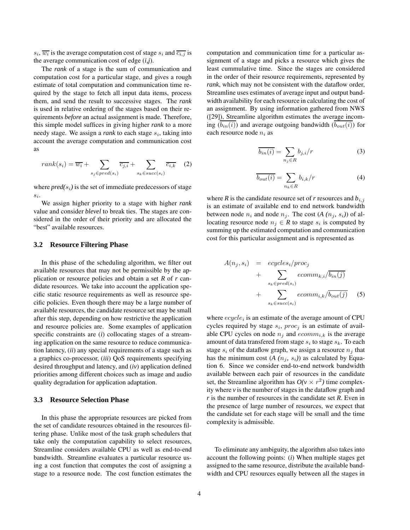$s_i$ ,  $\overline{w_i}$  is the average computation cost of stage  $s_i$  and  $\overline{c_{i,j}}$  is the average communication cost of edge (*i,j*).

The *rank* of a stage is the sum of communication and computation cost for a particular stage, and gives a rough estimate of total computation and communication time required by the stage to fetch all input data items, process them, and send the result to successive stages. The *rank* is used in relative ordering of the stages based on their requirements *before* an actual assignment is made. Therefore, this simple model suffices in giving higher *rank* to a more needy stage. We assign a *rank* to each stage  $s_i$ , taking into account the average computation and communication cost as

$$
rank(s_i) = \overline{w_i} + \sum_{s_j \in pred(s_i)} \overline{c_{j,i}} + \sum_{s_k \in succ(s_i)} \overline{c_{i,k}} \quad (2)
$$

where  $pred(s_i)$  is the set of immediate predecessors of stage si .

We assign higher priority to a stage with higher *rank* value and consider *blevel* to break ties. The stages are considered in the order of their priority and are allocated the "best" available resources.

#### **3.2 Resource Filtering Phase**

In this phase of the scheduling algorithm, we filter out available resources that may not be permissible by the application or resource policies and obtain a set *R* of *r* candidate resources. We take into account the application specific static resource requirements as well as resource specific policies. Even though there may be a large number of available resources, the candidate resource set may be small after this step, depending on how restrictive the application and resource policies are. Some examples of application specific constraints are (*i*) collocating stages of a streaming application on the same resource to reduce communication latency, (*ii*) any special requirements of a stage such as a graphics co-processor, (*iii*) QoS requirements specifying desired throughput and latency, and (*iv*) application defined priorities among different choices such as image and audio quality degradation for application adaptation.

### **3.3 Resource Selection Phase**

In this phase the appropriate resources are picked from the set of candidate resources obtained in the resources filtering phase. Unlike most of the task graph schedulers that take only the computation capability to select resources, Streamline considers available CPU as well as end-to-end bandwidth. Streamline evaluates a particular resource using a cost function that computes the cost of assigning a stage to a resource node. The cost function estimates the

computation and communication time for a particular assignment of a stage and picks a resource which gives the least cummulative time. Since the stages are considered in the order of their resource requirements, represented by *rank*, which may not be consistent with the dataflow order, Streamline uses estimates of average input and output bandwidth availability for each resource in calculating the cost of an assignment. By using information gathered from NWS ([29]), Streamline algorithm estimates the average incoming  $(\overline{b_{in}(i)})$  and average outgoing bandwidth  $(\overline{b_{out}(i)})$  for each resource node  $n_i$  as

$$
\overline{b_{in}(i)} = \sum_{n_j \in R} b_{j,i}/r \tag{3}
$$

$$
\overline{b_{out}(i)} = \sum_{n_k \in R} b_{i,k}/r \tag{4}
$$

where *R* is the candidate resource set of *r* resources and  $b_{i,j}$ is an estimate of available end to end network bandwidth between node  $n_i$  and node  $n_j$ . The cost  $(A (n_j, s_i))$  of allocating resource node  $n_j \in R$  to stage  $s_i$  is computed by summing up the estimated computation and communication cost for this particular assignment and is represented as

$$
A(n_j, s_i) = \ncycles_i/proc_j + \sum_{s_k \in pred(s_i)} ecomm_{k,i}/\overline{b_{in}(j)} + \sum_{s_k \in succ(s_i)} ecomm_{i,k}/\overline{b_{out}(j)}
$$
(5)

where  $ecycle_i$  is an estimate of the average amount of CPU cycles required by stage  $s_i$ ,  $proc_j$  is an estimate of available CPU cycles on node  $n_j$  and  $ecomm_{i,k}$  is the average amount of data transfered from stage  $s_i$  to stage  $s_k$ . To each stage  $s_i$  of the dataflow graph, we assign a resource  $n_i$  that has the minimum cost  $(A \ (n_i, s_i))$  as calculated by Equation 6. Since we consider end-to-end network bandwidth available between each pair of resources in the candidate set, the Streamline algorithm has  $O(v \times r^2)$  time complexity where *v* is the number of stages in the dataflow graph and *r* is the number of resources in the candidate set *R*. Even in the presence of large number of resources, we expect that the candidate set for each stage will be small and the time complexity is admissible.

To eliminate any ambiguity, the algorithm also takes into account the following points: (*i*) When multiple stages get assigned to the same resource, distribute the available bandwidth and CPU resources equally between all the stages in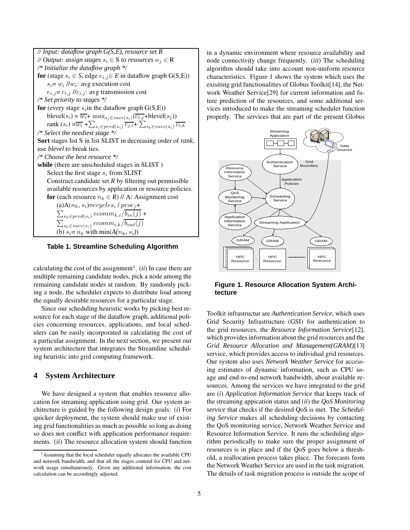

**Table 1. Streamline Scheduling Algorithm**

calculating the cost of the assignment<sup>1</sup>. (*ii*) In case there are multiple remaining candidate nodes, pick a node among the remaining candidate nodes at random. By randomly picking a node, the scheduler expects to distribute load among the equally desirable resources for a particular stage.

Since our scheduling heuristic works by picking best resource for each stage of the dataflow graph, additional policies concerning resources, applications, and local schedulers can be easily incorporated in calculating the cost of a particular assignment. In the next section, we present our system architecture that integrates the Streamline scheduling heuristic into grid computing framework.

### **4 System Architecture**

We have designed a system that enables resource allocation for streaming application using grid. Our system architecture is guided by the following design goals: (*i*) For quicker deployment, the system should make use of existing grid functionalities as much as possible so long as doing so does not conflict with application performance requirements. (*ii*) The resource allocation system should function

in a dynamic environment where resource availability and node connectivity change frequently. (*iii*) The scheduling algorithm should take into account non-uniform resource characteristics. Figure 1 shows the system which uses the exisiting grid functionalities of Globus Toolkit[14], the Network Weather Service[29] for current information and future prediction of the resources, and some additional services introduced to make the streaming scheduler function properly. The services that are part of the present Globus



**Figure 1. Resource Allocation System Architecture**

Toolkit infrastructur are *Authentication Service*, which uses Grid Security Infrastructure (GSI) for authentication to the grid resources, the *Resource Information Service*[12], which provides information about the grid resources and the *Grid Resource Allocation and Management(GRAM)*[13] service, which provides access to individual grid resources. Our system also uses *Network Weather Service* for accessing estimates of dynamic information, such as CPU usage and end-to-end network bandwidth, about available resources. Among the services we have integrated to the grid are (*i*) *Application Information Service* that keeps track of the streaming appication status and (*ii*) the *QoS Monitoring service* that checks if the desired QoS is met. The *Scheduling Service* makes all scheduling decisions by contacting the QoS monitoring service, Network Weather Service and Resource Information Service. It runs the scheduling algorithm periodically to make sure the proper assignment of resources is in place and if the QoS goes below a threshold, a reallocation process takes place. The forecasts from the Network Weather Service are used in the task migration. The details of task migration process is outside the scope of

<sup>1</sup>Assuming that the local scheduler equally allocates the available CPU and network bandwidth, and that all the stages contend for CPU and network usage simultaneously. Given any additional information, the cost calculation can be accordingly adjusted.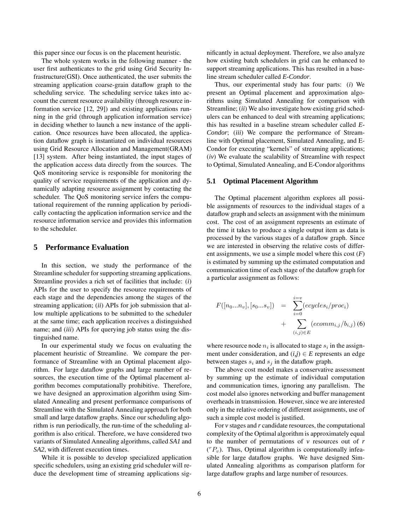this paper since our focus is on the placement heuristic.

The whole system works in the following manner - the user first authenticates to the grid using Grid Security Infrastructure(GSI). Once authenticated, the user submits the streaming application coarse-grain dataflow graph to the scheduling service. The scheduling service takes into account the current resource availability (through resource information service [12, 29]) and existing applications running in the grid (through application information service) in deciding whether to launch a new instance of the application. Once resources have been allocated, the application dataflow graph is instantiated on individual resources using Grid Resource Allocation and Management(GRAM) [13] system. After being instantiated, the input stages of the application access data directly from the sources. The QoS monitoring service is responsible for monitoring the quality of service requirements of the application and dynamically adapting resource assignment by contacting the scheduler. The QoS monitoring service infers the computational requirement of the running application by periodically contacting the application information service and the resource information service and provides this information to the scheduler.

### **5 Performance Evaluation**

In this section, we study the performance of the Streamline scheduler for supporting streaming applications. Streamline provides a rich set of facilities that include: (*i*) APIs for the user to specify the resource requirements of each stage and the dependencies among the stages of the streaming application; (*ii*) APIs for job submission that allow multiple applications to be submitted to the scheduler at the same time; each application receives a distinguished name; and (*iii*) APIs for querying job status using the distinguished name.

In our experimental study we focus on evaluating the placement heuristic of Streamline. We compare the performance of Streamline with an Optimal placement algorithm. For large dataflow graphs and large number of resources, the execution time of the Optimal placement algorithm becomes computationally prohibitive. Therefore, we have designed an approximation algorithm using Simulated Annealing and present performance comparisons of Streamline with the Simulated Annealing approach for both small and large dataflow graphs. Since our scheduling algorithm is run periodically, the run-time of the scheduling algorithm is also critical. Therefore, we have considered two variants of Simulated Annealing algorithms, called *SA1* and *SA2*, with different execution times.

While it is possible to develop specialized application specific schedulers, using an existing grid scheduler will reduce the development time of streaming applications significantly in actual deployment. Therefore, we also analyze how existing batch schedulers in grid can he enhanced to support streaming applications. This has resulted in a baseline stream scheduler called *E-Condor*.

Thus, our experimental study has four parts: (*i*) We present an Optimal placement and approximation algorithms using Simulated Annealing for comparison with Streamline; (*ii*) We also investigate how existing grid schedulers can be enhanced to deal with streaming applications; this has resulted in a baseline stream scheduler called *E-Condor*; (*iii*) We compare the performance of Streamline with Optimal placement, Simulated Annealing, and E-Condor for executing "kernels" of streaming applications; (*iv*) We evaluate the scalability of Streamline with respect to Optimal, Simulated Annealing, and E-Condor algorithms

#### **5.1 Optimal Placement Algorithm**

The Optimal placement algorithm explores all possible assignments of resources to the individual stages of a dataflow graph and selects an assignment with the minimum cost. The cost of an assignment represents an estimate of the time it takes to produce a single output item as data is processed by the various stages of a dataflow graph. Since we are interested in observing the relative costs of different assignments, we use a simple model where this cost (*F*) is estimated by summing up the estimated computation and communication time of each stage of the dataflow graph for a particular assignment as follows:

$$
F([n_0...n_v], [s_0...s_v]) = \sum_{i=0}^{i=v} (ecycles_i / proc_i) + \sum_{(i,j) \in E} (ecomm_{i,j} / b_{i,j}) (6)
$$

where resource node  $n_i$  is allocated to stage  $s_i$  in the assignment under consideration, and  $(i,j) \in E$  represents an edge between stages  $s_i$  and  $s_j$  in the dataflow graph.

The above cost model makes a conservative assessment by summing up the estimate of individual computation and communication times, ignoring any parallelism. The cost model also ignores networking and buffer management overheads in transmission. However, since we are interested only in the relative ordering of different assignments, use of such a simple cost model is justified.

For *v* stages and *r* candidate resources, the computational complexity of the Optimal algorithm is approximately equal to the number of permutations of *v* resources out of *r*  $({}^{r}P_{v})$ . Thus, Optimal algorithm is computationally infeasible for large dataflow graphs. We have designed Simulated Annealing algorithms as comparison platform for large dataflow graphs and large number of resources.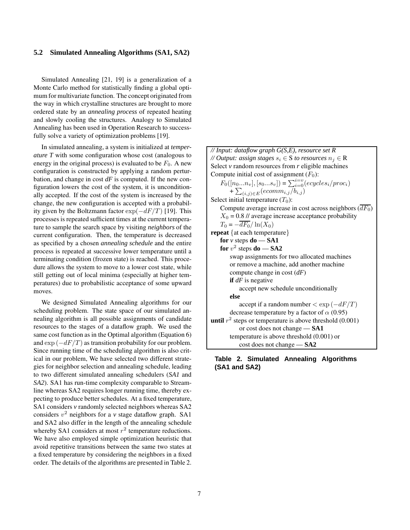### **5.2 Simulated Annealing Algorithms (SA1, SA2)**

Simulated Annealing [21, 19] is a generalization of a Monte Carlo method for statistically finding a global optimum for multivariate function. The concept originated from the way in which crystalline structures are brought to more ordered state by an *annealing process* of repeated heating and slowly cooling the structures. Analogy to Simulated Annealing has been used in Operation Research to successfully solve a variety of optimization problems [19].

In simulated annealing, a system is initialized at *temperature T* with some configuration whose cost (analogous to energy in the original process) is evaluated to be  $F_0$ . A new configuration is constructed by applying a random perturbation, and change in cost *dF* is computed. If the new configuration lowers the cost of the system, it is unconditionally accepted. If the cost of the system is increased by the change, the new configuration is accepted with a probability given by the Boltzmann factor  $\exp(-dF/T)$  [19]. This processes is repeated sufficient times at the current temperature to sample the search space by visiting *neighbors* of the current configuration. Then, the temperature is decreased as specified by a chosen *annealing schedule* and the entire process is repeated at successive lower temperature until a terminating condition (frozen state) is reached. This procedure allows the system to move to a lower cost state, while still getting out of local minima (especially at higher temperatures) due to probabilistic acceptance of some upward moves.

We designed Simulated Annealing algorithms for our scheduling problem. The state space of our simulated annealing algorithm is all possible assignments of candidate resources to the stages of a dataflow graph. We used the same cost function as in the Optimal algorithm (Equation 6) and  $\exp(-dF/T)$  as transition probability for our problem. Since running time of the scheduling algorithm is also critical in our problem, We have selected two different strategies for neighbor selection and annealing schedule, leading to two different simulated annealing schedulers (*SA1* and *SA2*). SA1 has run-time complexity comparable to Streamline whereas SA2 requires longer running time, thereby expecting to produce better schedules. At a fixed temperature, SA1 considers *v* randomly selected neighbors whereas SA2 considers  $v^2$  neighbors for a  $v$  stage dataflow graph. SA1 and SA2 also differ in the length of the annealing schedule whereby SA1 considers at most  $r^2$  temperature reductions. We have also employed simple optimization heuristic that avoid repetitive transitions between the same two states at a fixed temperature by considering the neighbors in a fixed order. The details of the algorithms are presented in Table 2.

*// Input: dataflow graph G(S,E), resource set R // Output: assign stages*  $s_i \in S$  *to resources*  $n_i \in R$ Select  $\nu$  random resources from  $r$  eligible machines Compute initial cost of assignment  $(F_0)$ :  $F_0([n_0...n_v], [s_0...s_v]) = \sum_{i=0}^{i=v} (ecycles_i / proc_i)$ +  $\sum_{(i,j)\in E} (ecomm_{i,j}/b_{i,j})$ Select initial temperature  $(T_0)$ : Compute average increase in cost across neighbors  $(\overline{dF_0})$  $X_0 = 0.8$  // average increase acceptance probability  $T_0 = -\overline{dF_0}/\ln(X_0)$ **repeat** {at each temperature} **for**  $\nu$  steps **do** — **SA1**  ${\bf f}$ **or**  $v^2$  steps  ${\bf d}$ **o** — **SA2** swap assignments for two allocated machines or remove a machine, add another machine compute change in cost (*dF*) **if** *dF* is negative accept new schedule unconditionally **else** accept if a random number  $\langle \exp(-dF/T) \rangle$ decrease temperature by a factor of  $\alpha$  (0.95) **until**  $r^2$  steps or temperature is above threshold  $(0.001)$ or cost does not change — **SA1** temperature is above threshold (0.001) or cost does not change — **SA2**

### **Table 2. Simulated Annealing Algorithms (SA1 and SA2)**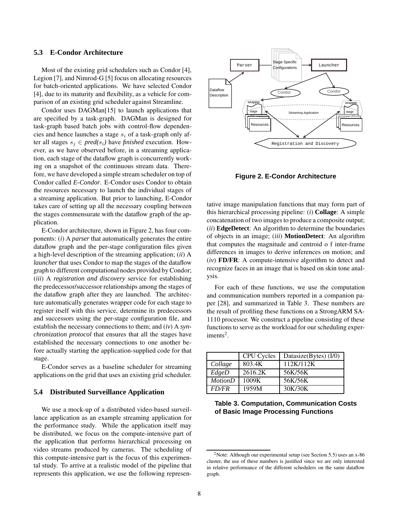### **5.3 E-Condor Architecture**

Most of the existing grid schedulers such as Condor [4], Legion [7], and Nimrod-G [5] focus on allocating resources for batch-oriented applications. We have selected Condor [4], due to its maturity and flexibility, as a vehicle for comparison of an existing grid scheduler against Streamline.

Condor uses DAGMan[15] to launch applications that are specified by a task-graph. DAGMan is designed for task-graph based batch jobs with control-flow dependencies and hence launches a stage  $s_i$  of a task-graph only after all stages  $s_i \in pred(s_i)$  have *finished* execution. However, as we have observed before, in a streaming application, each stage of the dataflow graph is concurrently working on a snapshot of the continuous stream data. Therefore, we have developed a simple stream scheduler on top of Condor called *E-Condor*. E-Condor uses Condor to obtain the resources necessary to launch the individual stages of a streaming application. But prior to launching, E-Condor takes care of setting up all the necessary coupling between the stages commensurate with the dataflow graph of the application.

E-Condor architecture, shown in Figure 2, has four components: (*i*) A *parser* that automatically generates the entire dataflow graph and the per-stage configuration files given a high-level description of the streaming application; (*ii*) A *launcher* that uses Condor to map the stages of the dataflow graph to different computational nodes provided by Condor; (*iii*) A *registration and discovery* service for establishing the predecessor/successor relationships among the stages of the dataflow graph after they are launched. The architecture automatically generates wrapper code for each stage to register itself with this service, determine its predecessors and successors using the per-stage configuration file, and establish the necessary connections to them; and (*iv*) A *synchronization protocol* that ensures that all the stages have established the necessary connections to one another before actually starting the application-supplied code for that stage.

E-Condor serves as a baseline scheduler for streaming applications on the grid that uses an existing grid scheduler.

#### **5.4 Distributed Surveillance Application**

We use a mock-up of a distributed video-based surveillance application as an example streaming application for the performance study. While the application itself may be distributed, we focus on the compute-intensive part of the application that performs hierarchical processing on video streams produced by cameras. The scheduling of this compute-intensive part is the focus of this experimental study. To arrive at a realistic model of the pipeline that represents this application, we use the following represen-



**Figure 2. E-Condor Architecture**

tative image manipulation functions that may form part of this hierarchical processing pipeline: (*i*) **Collage**: A simple concatenation of two images to produce a composite output; (*ii*) **EdgeDetect**: An algorithm to determine the boundaries of objects in an image; (*iii*) **MotionDetect**: An algorithm that computes the magnitude and centroid o f inter-frame differences in images to derive inferences on motion; and (*iv*) **FD/FR**: A compute-intensive algorithm to detect and recognize faces in an image that is based on skin tone analysis.

For each of these functions, we use the computation and communication numbers reported in a companion paper [28], and summarized in Table 3. These numbers are the result of profiling these functions on a StrongARM SA-1110 processor. We construct a pipeline consisting of these functions to serve as the workload for our scheduling experiments<sup>2</sup>.

|                     | <b>CPU</b> Cycles | Datasize(Bytes) $(I/0)$ |
|---------------------|-------------------|-------------------------|
| Collage             | 803.4K            | 112K/112K               |
| EdgeD               | 2616.2K           | 56K/56K                 |
| $\overline{Motion}$ | 1009K             | 56K/56K                 |
| <i>FD/FR</i>        | 1959M             | 30K/30K                 |

### **Table 3. Computation, Communication Costs of Basic Image Processing Functions**

<sup>2</sup>Note: Although our experimental setup (see Section 5.5) uses an x-86 cluster, the use of these numbers is justified since we are only interested in relative performance of the different schedulers on the same dataflow graph.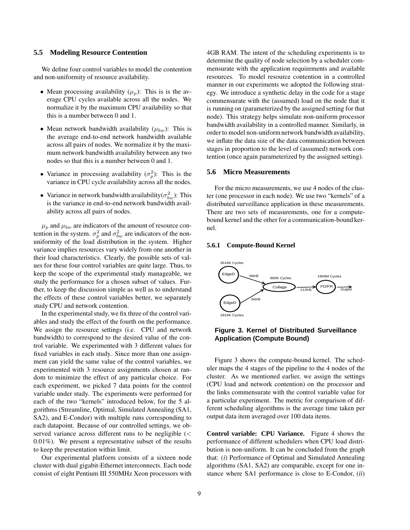#### **5.5 Modeling Resource Contention**

We define four control variables to model the contention and non-uniformity of resource availability.

- Mean processing availability  $(\mu_p)$ : This is is the average CPU cycles available across all the nodes. We normalize it by the maximum CPU availability so that this is a number between 0 and 1.
- Mean network bandwidth availability  $(\mu_{bw})$ : This is the average end-to-end network bandwidth available across all pairs of nodes. We normalize it by the maximum network bandwidth availability between any two nodes so that this is a number between 0 and 1.
- Variance in processing availability  $(\sigma_p^2)$ : This is the variance in CPU cycle availability across all the nodes.
- Variance in network bandwidth availability  $(\sigma_{bw}^2)$ : This is the variance in end-to-end network bandwidth availability across all pairs of nodes.

 $\mu_p$  and  $\mu_{bw}$  are indicators of the amount of resource contention in the system.  $\sigma_p^2$  and  $\sigma_{bw}^2$  are indicators of the nonuniformity of the load distribution in the system. Higher variance implies resources vary widely from one another in their load characteristics. Clearly, the possible sets of values for these four control variables are quite large. Thus, to keep the scope of the experimental study manageable, we study the performance for a chosen subset of values. Further, to keep the discussion simple as well as to understand the effects of these control variables better, we separately study CPU and network contention.

In the experimental study, we fix three of the control variables and study the effect of the fourth on the performance. We assign the resource settings (i.e. CPU and network bandwidth) to correspond to the desired value of the control variable. We experimented with 3 different values for fixed variables in each study. Since more than one assignment can yield the same value of the control variables, we experimented with 3 resource assignments chosen at random to minimize the effect of any particular choice. For each experiment, we picked 7 data points for the control variable under study. The experiments were performed for each of the two "kernels" introduced below, for the 5 algorithms (Streamline, Optimal, Simulated Annealing (SA1, SA2), and E-Condor) with multiple runs corresponding to each datapoint. Because of our controlled settings, we observed variance across different runs to be negligible (< 0.01%). We present a representative subset of the results to keep the presentation within limit.

Our experimental platform consists of a sixteen node cluster with dual gigabit-Ethernet interconnects. Each node consist of eight Pentium III 550MHz Xeon processors with 4GB RAM. The intent of the scheduling experiments is to determine the quality of node selection by a scheduler commensurate with the application requirements and available resources. To model resource contention in a controlled manner in our experiments we adopted the following strategy. We introduce a synthetic delay in the code for a stage commensurate with the (assumed) load on the node that it is running on (parameterized by the assigned setting for that node). This strategy helps simulate non-uniform processor bandwidth availability in a controlled manner. Similarly, in order to model non-uniformnetwork bandwidth availability, we inflate the data size of the data communication between stages in proportion to the level of (assumed) network contention (once again parameterized by the assigned setting).

#### **5.6 Micro Measurements**

For the micro measurements, we use 4 nodes of the cluster (one processor in each node). We use two "kernels" of a distributed surveillance application in these measurements. There are two sets of measurements, one for a computebound kernel and the other for a communication-bound kernel.

#### **5.6.1 Compute-Bound Kernel**



### **Figure 3. Kernel of Distributed Surveillance Application (Compute Bound)**

Figure 3 shows the compute-bound kernel. The scheduler maps the 4 stages of the pipeline to the 4 nodes of the cluster. As we mentioned earlier, we assign the settings (CPU load and network contention) on the processor and the links commensurate with the control variable value for a particular experiment. The metric for comparison of different scheduling algorithms is the average time taken per output data item averaged over 100 data items.

**Control variable: CPU Variance.** Figure 4 shows the performance of different schedulers when CPU load distribution is non-uniform. It can be concluded from the graph that: (*i*) Performance of Optimal and Simulated Annealing algorithms (SA1, SA2) are comparable, except for one instance where SA1 performance is close to E-Condor, (*ii*)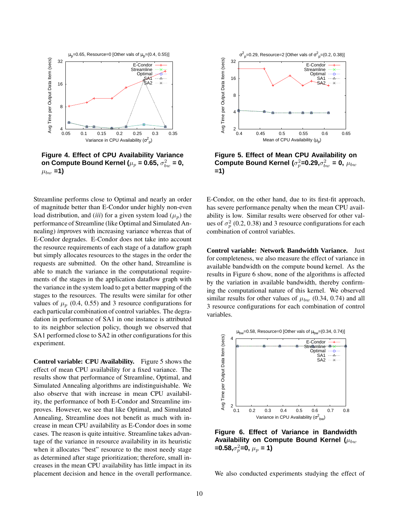

**Figure 4. Effect of CPU Availability Variance**  ${\bf o}$ n Compute Bound Kernel ( $\mu_p$  = 0.65,  $\sigma_{bw}^2$  = 0,  $\mu_{bw} = 1$ 

Streamline performs close to Optimal and nearly an order of magnitude better than E-Condor under highly non-even load distribution, and *(iii)* for a given system load  $(\mu_n)$  the performance of Streamline (like Optimal and Simulated Annealing) *improves* with increasing variance whereas that of E-Condor degrades. E-Condor does not take into account the resource requirements of each stage of a dataflow graph but simply allocates resources to the stages in the order the requests are submitted. On the other hand, Streamline is able to match the variance in the computational requirements of the stages in the application dataflow graph with the variance in the system load to get a better mapping of the stages to the resources. The results were similar for other values of  $\mu_p$  (0.4, 0.55) and 3 resource configurations for each particular combination of control variables. The degradation in performance of SA1 in one instance is attributed to its neighbor selection policy, though we observed that SA1 performed close to SA2 in other configurations for this experiment.

**Control variable: CPU Availability.** Figure 5 shows the effect of mean CPU availability for a fixed variance. The results show that performance of Streamline, Optimal, and Simulated Annealing algorithms are indistinguishable. We also observe that with increase in mean CPU availability, the performance of both E-Condor and Streamline improves. However, we see that like Optimal, and Simulated Annealing, Streamline does not benefit as much with increase in mean CPU availability as E-Condor does in some cases. The reason is quite intuitive. Streamline takes advantage of the variance in resource availability in its heuristic when it allocates "best" resource to the most needy stage as determined after stage prioritization; therefore, small increases in the mean CPU availability has little impact in its placement decision and hence in the overall performance.



**Figure 5. Effect of Mean CPU Availability on**  $\bf{Compute~Bound~Kernel}$  ( $\sigma_p^2$ =0.29, $\sigma_{bw}^2$  = 0,  $\mu_{bw}$ **=1)**

E-Condor, on the other hand, due to its first-fit approach, has severe performance penalty when the mean CPU availability is low. Similar results were observed for other values of  $\sigma_p^2$  (0.2, 0.38) and 3 resource configurations for each combination of control variables.

**Control variable: Network Bandwidth Variance.** Just for completeness, we also measure the effect of variance in available bandwidth on the compute bound kernel. As the results in Figure 6 show, none of the algorithms is affected by the variation in available bandwidth, thereby confirming the computational nature of this kernel. We observed similar results for other values of  $\mu_{bw}$  (0.34, 0.74) and all 3 resource configurations for each combination of control variables.



**Figure 6. Effect of Variance in Bandwidth Availability on Compute Bound Kernel** ( $\mu_{bw}$ ) **=0.58,**σ 2 <sup>p</sup>**=0,** µ<sup>p</sup> **= 1)**

We also conducted experiments studying the effect of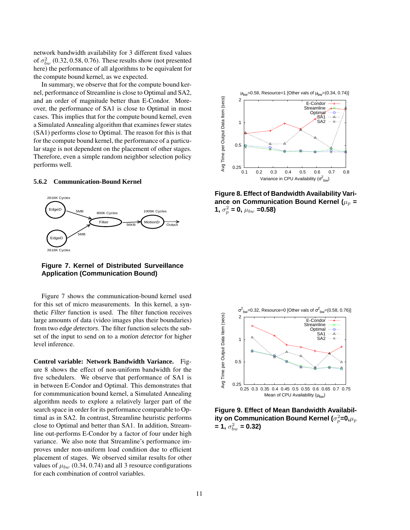network bandwidth availability for 3 different fixed values of  $\sigma_{bw}^2$  (0.32, 0.58, 0.76). These results show (not presented here) the performance of all algorithms to be equivalent for the compute bound kernel, as we expected.

In summary, we observe that for the compute bound kernel, performance of Streamline is close to Optimal and SA2, and an order of magnitude better than E-Condor. Moreover, the performance of SA1 is close to Optimal in most cases. This implies that for the compute bound kernel, even a Simulated Annealing algorithm that examines fewer states (SA1) performs close to Optimal. The reason for this is that for the compute bound kernel, the performance of a particular stage is not dependent on the placement of other stages. Therefore, even a simple random neighbor selection policy performs well.

#### **5.6.2 Communication-Bound Kernel**



**Figure 7. Kernel of Distributed Surveillance Application (Communication Bound)**

Figure 7 shows the communication-bound kernel used for this set of micro measurements. In this kernel, a synthetic *Filter* function is used. The filter function receives large amounts of data (video images plus their boundaries) from two *edge detectors*. The filter function selects the subset of the input to send on to a *motion detector* for higher level inference.

**Control variable: Network Bandwidth Variance.** Figure 8 shows the effect of non-uniform bandwidth for the five schedulers. We observe that performance of SA1 is in between E-Condor and Optimal. This demonstrates that for commmunication bound kernel, a Simulated Annealing algorithm needs to explore a relatively larger part of the search space in order for its performance comparable to Optimal as in SA2. In contrast, Streamline heuristic performs close to Optimal and better than SA1. In addition, Streamline out-performs E-Condor by a factor of four under high variance. We also note that Streamline's performance improves under non-uniform load condition due to efficient placement of stages. We observed similar results for other values of  $\mu_{bw}$  (0.34, 0.74) and all 3 resource configurations for each combination of control variables.



**Figure 8. Effect of Bandwidth Availability Vari**ance on Communication Bound Kernel ( $\mu_p$  = **1,**  $\sigma_p^2$  = **0,**  $\mu_{bw}$  = **0.58**)



**Figure 9. Effect of Mean Bandwidth Availabil-** $\boldsymbol{\mu}$  ty on Communication Bound Kernel ( $\sigma_p^2$ =0, $\mu_p$  $=$  **1**,  $\sigma_{bw}^2 = 0.32$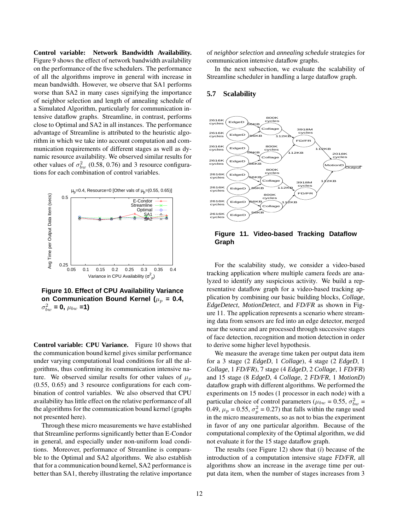**Control variable: Network Bandwidth Availability.** Figure 9 shows the effect of network bandwidth availability on the performance of the five schedulers. The performance of all the algorithms improve in general with increase in mean bandwidth. However, we observe that SA1 performs worse than SA2 in many cases signifying the importance of neighbor selection and length of annealing schedule of a Simulated Algorithm, particularly for communication intensive dataflow graphs. Streamline, in contrast, performs close to Optimal and SA2 in all instances. The performance advantage of Streamline is attributed to the heuristic algorithm in which we take into account computation and communication requirements of different stages as well as dynamic resource availability. We observed similar results for other values of  $\sigma_{bw}^2$  (0.58, 0.76) and 3 resource configurations for each combination of control variables.



**Figure 10. Effect of CPU Availability Variance** on **Communication** Bound Kernel ( $\mu_p$  = 0.4,  $\sigma_{bw}^2 = 0$ ,  $\mu_{bw} = 1$ )

**Control variable: CPU Variance.** Figure 10 shows that the communication bound kernel gives similar performance under varying computational load conditions for all the algorithms, thus confirming its communication intensive nature. We observed similar results for other values of  $\mu_p$ (0.55, 0.65) and 3 resource configurations for each combination of control variables. We also observed that CPU availability has little effect on the relative performance of all the algorithms for the communication bound kernel (graphs not presented here).

Through these micro measurements we have established that Streamline performs significantly better than E-Condor in general, and especially under non-uniform load conditions. Moreover, performance of Streamline is comparable to the Optimal and SA2 algorithms. We also establish that for a communication bound kernel, SA2 performance is better than SA1, thereby illustrating the relative importance

of *neighbor selection* and *annealing schedule* strategies for communication intensive dataflow graphs.

In the next subsection, we evaluate the scalability of Streamline scheduler in handling a large dataflow graph.

#### **5.7 Scalability**



**Figure 11. Video-based Tracking Dataflow Graph**

For the scalability study, we consider a video-based tracking application where multiple camera feeds are analyzed to identify any suspicious activity. We build a representative dataflow graph for a video-based tracking application by combining our basic building blocks, *Collage*, *EdgeDetect*, *MotionDetect*, and *FD/FR* as shown in Figure 11. The application represents a scenario where streaming data from sensors are fed into an edge detector, merged near the source and are processed through successive stages of face detection, recognition and motion detection in order to derive some higher level hypothesis.

We measure the average time taken per output data item for a 3 stage (2 *EdgeD*, 1 *Collage*), 4 stage (2 *EdgeD*, 1 *Collage*, 1 *FD/FR*), 7 stage (4 *EdgeD*, 2 *Collage*, 1 *FD/FR*) and 15 stage (8 *EdgeD*, 4 *Collage*, 2 *FD/FR*, 1 *MotionD*) dataflow graph with different algorithms. We performed the experiments on 15 nodes (1 processor in each node) with a particular choice of control parameters ( $\mu_{bw} = 0.55$ ,  $\sigma_{bw}^2 =$ 0.49,  $\mu_p = 0.55$ ,  $\sigma_p^2 = 0.27$ ) that falls within the range used in the micro measurements, so as not to bias the experiment in favor of any one particular algorithm. Because of the computational complexity of the Optimal algorithm, we did not evaluate it for the 15 stage dataflow graph.

The results (see Figure 12) show that (*i*) because of the introduction of a computation intensive stage *FD/FR*, all algorithms show an increase in the average time per output data item, when the number of stages increases from 3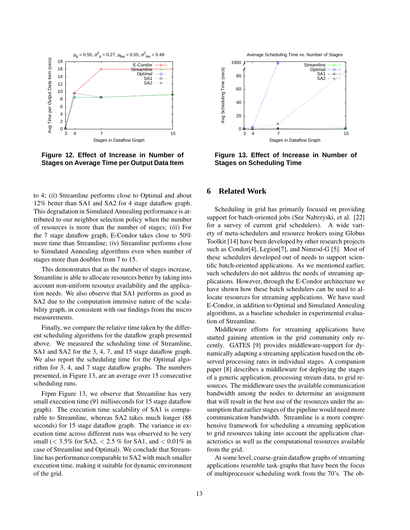

**Figure 12. Effect of Increase in Number of Stages on Average Time per Output Data Item**

to 4; (*ii*) Streamline performs close to Optimal and about 12% better than SA1 and SA2 for 4 stage dataflow graph. This degradation in Simulated Annealing performance is attributed to our neighbor selection policy when the number of resources is more than the number of stages; (*iii*) For the 7 stage dataflow graph, E-Condor takes close to 50% more time than Streamline; (*iv*) Streamline performs close to Simulated Annealing algorithms even when number of stages more than doubles from 7 to 15.

This demonstrates that as the number of stages increase, Streamline is able to allocate resources better by taking into account non-uniform resource availability and the application needs. We also observe that SA1 performs as good as SA2 due to the computation intensive nature of the scalability graph, in consistent with our findings from the micro measurements.

Finally, we compare the relative time taken by the different scheduling algorithms for the dataflow graph presented above. We measured the scheduling time of Streamline, SA1 and SA2 for the 3, 4, 7, and 15 stage dataflow graph. We also report the scheduling time for the Optimal algorithm for 3, 4, and 7 stage dataflow graphs. The numbers presented, in Figure 13, are an average over 15 consecutive scheduling runs.

Frpm Figure 13, we observe that Streamline has very small execution time (91 milliseconds for 15 stage dataflow graph). The execution time scalability of SA1 is comparable to Streamline, whereas SA2 takes much longer (88 seconds) for 15 stage dataflow graph. The variance in execution time across different runs was observed to be very small ( $< 3.5\%$  for SA2,  $< 2.5\%$  for SA1, and  $< 0.01\%$  in case of Streamline and Optimal). We conclude that Streamline has performance comparable to SA2 with much smaller execution time, making it suitable for dynamic environment of the grid.



**Figure 13. Effect of Increase in Number of Stages on Scheduling Time**

## **6 Related Work**

Scheduling in grid has primarily focused on providing support for batch-oriented jobs (See Nabrzyski, et al. [22] for a survey of current grid schedulers). A wide variety of meta-schedulers and resource brokers using Globus Toolkit [14] have been developed by other research projects such as Condor[4], Legion[7], and Nimrod-G [5]. Most of these schedulers developed out of needs to support scientific batch-oriented applications. As we mentioned earlier, such schedulers do not address the needs of streaming applications. However, through the E-Condor architecture we have shown how these batch schedulers can be used to allocate resources for streaming applications. We have used E-Condor, in addition to Optimal and Simulated Annealing algorithms, as a baseline scheduler in experimental evaluation of Streamline.

Middleware efforts for streaming applications have started gaining attention in the grid community only recently. GATES [9] provides middleware-support for dynamically adapting a streaming application based on the observed processing rates in individual stages. A companion paper [8] describes a middleware for deploying the stages of a generic application, processing stream data, to grid resources. The middleware uses the available communication bandwidth among the nodes to determine an assignment that will result in the best use of the resources under the assumption that earlier stages of the pipeline would need more communication bandwidth. Streamline is a more comprehensive framework for scheduling a streaming application to grid resources taking into account the application characteristics as well as the computational resources available from the grid.

At some level, coarse-grain dataflow graphs of streaming applications resemble task-graphs that have been the focus of multiprocessor scheduling work from the 70's. The ob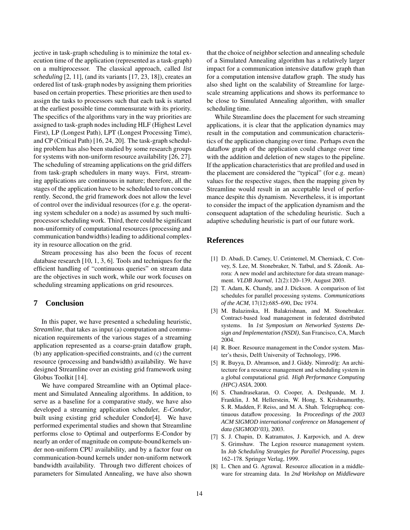jective in task-graph scheduling is to minimize the total execution time of the application (represented as a task-graph) on a multiprocessor. The classical approach, called *list scheduling* [2, 11], (and its variants [17, 23, 18]), creates an ordered list of task-graph nodes by assigning them priorities based on certain properties. These priorities are then used to assign the tasks to processors such that each task is started at the earliest possible time commensurate with its priority. The specifics of the algorithms vary in the way priorities are assigned to task-graph nodes including HLF (Highest Level First), LP (Longest Path), LPT (Longest Processing Time), and CP (Critical Path) [16, 24, 20]. The task-graph scheduling problem has also been studied by some research groups for systems with non-uniform resource availability [26, 27]. The scheduling of streaming applications on the grid differs from task-graph schedulers in many ways. First, streaming applications are continuous in nature; therefore, all the stages of the application have to be scheduled to run concurrently. Second, the grid framework does not allow the level of control over the individual resources (for e.g. the operating system scheduler on a node) as assumed by such multiprocessorscheduling work. Third, there could be significant non-uniformity of computational resources (processing and communication bandwidths) leading to additional complexity in resource allocation on the grid.

Stream processing has also been the focus of recent database research [10, 1, 3, 6]. Tools and techniques for the efficient handling of "continuous queries" on stream data are the objectives in such work, while our work focuses on scheduling streaming applications on grid resources.

### **7 Conclusion**

In this paper, we have presented a scheduling heuristic, *Streamline*, that takes as input (a) computation and communication requirements of the various stages of a streaming application represented as a coarse-grain dataflow graph, (b) any application-specified constraints, and (c) the current resource (processing and bandwidth) availability. We have designed Streamline over an existing grid framework using Globus Toolkit [14].

We have compared Streamline with an Optimal placement and Simulated Annealing algorithms. In addition, to serve as a baseline for a comparative study, we have also developed a streaming application scheduler, *E-Condor*, built using existing grid scheduler Condor[4]. We have performed experimental studies and shown that Streamline performs close to Optimal and outperforms E-Condor by nearly an order of magnitude on compute-bound kernels under non-uniform CPU availability, and by a factor four on communication-bound kernels under non-uniform network bandwidth availability. Through two different choices of parameters for Simulated Annealing, we have also shown that the choice of neighborselection and annealing schedule of a Simulated Annealing algorithm has a relatively larger impact for a communication intensive dataflow graph than for a computation intensive dataflow graph. The study has also shed light on the scalability of Streamline for largescale streaming applications and shows its performance to be close to Simulated Annealing algorithm, with smaller scheduling time.

While Streamline does the placement for such streaming applications, it is clear that the application dynamics may result in the computation and communication characteristics of the application changing over time. Perhaps even the dataflow graph of the application could change over time with the addition and deletion of new stages to the pipeline. If the application characteristics that are profiled and used in the placement are considered the "typical" (for e.g. mean) values for the respective stages, then the mapping given by Streamline would result in an acceptable level of performance despite this dynamism. Nevertheless, it is important to consider the impact of the application dynamism and the consequent adaptation of the scheduling heuristic. Such a adaptive scheduling heuristic is part of our future work.

### **References**

- [1] D. Abadi, D. Carney, U. Cetintemel, M. Cherniack, C. Convey, S. Lee, M. Stonebraker, N. Tatbul, and S. Zdonik. Aurora: A new model and architecture for data stream management. *VLDB Journal*, 12(2):120–139, August 2003.
- [2] T. Adam, K. Chandy, and J. Dickson. A comparison of list schedules for parallel processing systems. *Communications of the ACM*, 17(12):685–690, Dec 1974.
- [3] M. Balazinska, H. Balakrishnan, and M. Stonebraker. Contract-based load management in federated distributed systems. In *1st Symposium on Networked Systems Design and Implementation (NSDI)*, San Francisco, CA, March 2004.
- [4] R. Boer. Resource management in the Condor system. Master's thesis, Delft University of Technology, 1996.
- [5] R. Buyya, D. Abramson, and J. Giddy. Nimrod/g: An architecture for a resource management and scheduling system in a global computational grid. *High Performance Computing (HPC) ASIA*, 2000.
- [6] S. Chandrasekaran, O. Cooper, A. Deshpande, M. J. Franklin, J. M. Hellerstein, W. Hong, S. Krishnamurthy, S. R. Madden, F. Reiss, and M. A. Shah. Telegraphcq: continuous dataflow processing. In *Proceedings of the 2003 ACM SIGMOD international conference on Management of data (SIGMOD'03)*, 2003.
- [7] S. J. Chapin, D. Katramatos, J. Karpovich, and A. drew S. Grimshaw. The Legion resource management system. In *Job Scheduling Strategies for Parallel Processing*, pages 162–178. Springer Verlag, 1999.
- [8] L. Chen and G. Agrawal. Resource allocation in a middleware for streaming data. In *2nd Workshop on Middleware*